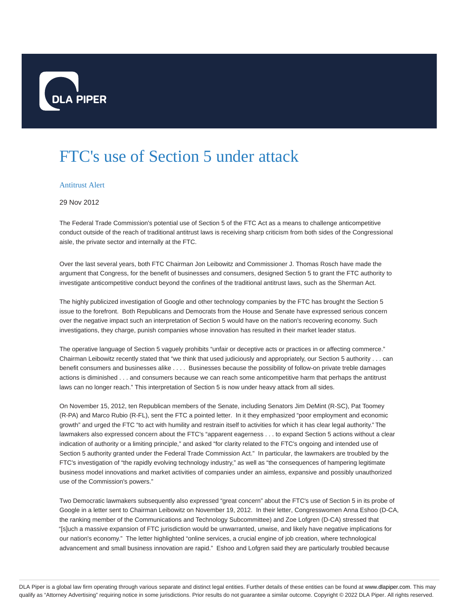

## FTC's use of Section 5 under attack

## Antitrust Alert

## 29 Nov 2012

The Federal Trade Commission's potential use of Section 5 of the FTC Act as a means to challenge anticompetitive conduct outside of the reach of traditional antitrust laws is receiving sharp criticism from both sides of the Congressional aisle, the private sector and internally at the FTC.

Over the last several years, both FTC Chairman Jon Leibowitz and Commissioner J. Thomas Rosch have made the argument that Congress, for the benefit of businesses and consumers, designed Section 5 to grant the FTC authority to investigate anticompetitive conduct beyond the confines of the traditional antitrust laws, such as the Sherman Act.

The highly publicized investigation of Google and other technology companies by the FTC has brought the Section 5 issue to the forefront. Both Republicans and Democrats from the House and Senate have expressed serious concern over the negative impact such an interpretation of Section 5 would have on the nation's recovering economy. Such investigations, they charge, punish companies whose innovation has resulted in their market leader status.

The operative language of Section 5 vaguely prohibits "unfair or deceptive acts or practices in or affecting commerce." Chairman Leibowitz recently stated that "we think that used judiciously and appropriately, our Section 5 authority . . . can benefit consumers and businesses alike . . . . Businesses because the possibility of follow-on private treble damages actions is diminished . . . and consumers because we can reach some anticompetitive harm that perhaps the antitrust laws can no longer reach." This interpretation of Section 5 is now under heavy attack from all sides.

On November 15, 2012, ten Republican members of the Senate, including Senators Jim DeMint (R-SC), Pat Toomey (R-PA) and Marco Rubio (R-FL), sent the FTC a pointed letter. In it they emphasized "poor employment and economic growth" and urged the FTC "to act with humility and restrain itself to activities for which it has clear legal authority." The lawmakers also expressed concern about the FTC's "apparent eagerness . . . to expand Section 5 actions without a clear indication of authority or a limiting principle," and asked "for clarity related to the FTC's ongoing and intended use of Section 5 authority granted under the Federal Trade Commission Act." In particular, the lawmakers are troubled by the FTC's investigation of "the rapidly evolving technology industry," as well as "the consequences of hampering legitimate business model innovations and market activities of companies under an aimless, expansive and possibly unauthorized use of the Commission's powers."

Two Democratic lawmakers subsequently also expressed "great concern" about the FTC's use of Section 5 in its probe of Google in a letter sent to Chairman Leibowitz on November 19, 2012. In their letter, Congresswomen Anna Eshoo (D-CA, the ranking member of the Communications and Technology Subcommittee) and Zoe Lofgren (D-CA) stressed that "[s]uch a massive expansion of FTC jurisdiction would be unwarranted, unwise, and likely have negative implications for our nation's economy." The letter highlighted "online services, a crucial engine of job creation, where technological advancement and small business innovation are rapid." Eshoo and Lofgren said they are particularly troubled because